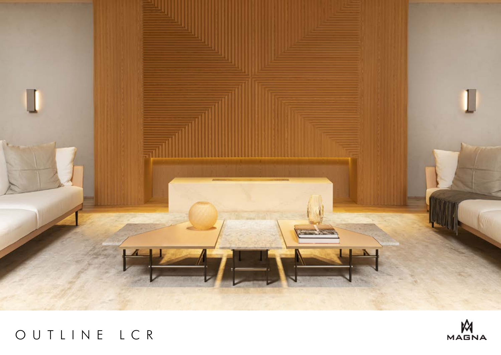

# OUTLINE LCR